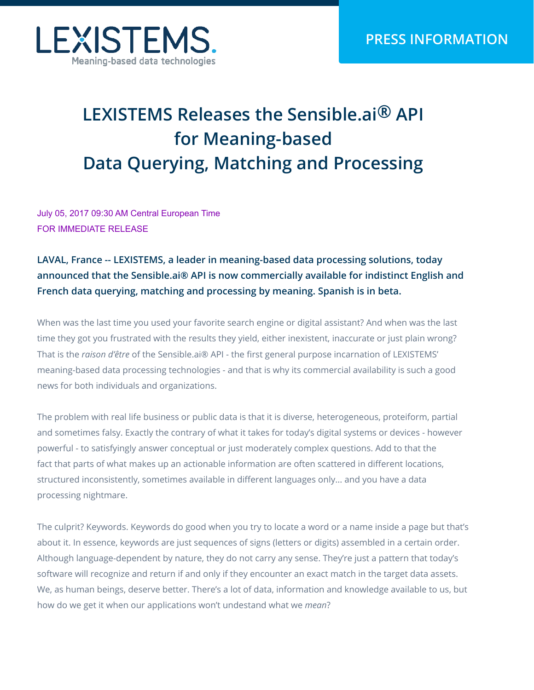

## **LEXISTEMS Releases the Sensible.ai® API for Meaning-based Data Querying, Matching and Processing**

July 05, 2017 09:30 AM Central European Time FOR IMMEDIATE RELEASE

## **LAVAL, France -- LEXISTEMS, a leader in meaning-based data processing solutions, today announced that the Sensible.ai® API is now commercially available for indistinct English and French data querying, matching and processing by meaning. Spanish is in beta.**

When was the last time you used your favorite search engine or digital assistant? And when was the last time they got you frustrated with the results they yield, either inexistent, inaccurate or just plain wrong? That is the *raison d'être* of the Sensible.ai® API - the first general purpose incarnation of LEXISTEMS' meaning-based data processing technologies - and that is why its commercial availability is such a good news for both individuals and organizations.

The problem with real life business or public data is that it is diverse, heterogeneous, proteiform, partial and sometimes falsy. Exactly the contrary of what it takes for today's digital systems or devices - however powerful - to satisfyingly answer conceptual or just moderately complex questions. Add to that the fact that parts of what makes up an actionable information are often scattered in different locations, structured inconsistently, sometimes available in different languages only... and you have a data processing nightmare.

The culprit? Keywords. Keywords do good when you try to locate a word or a name inside a page but that's about it. In essence, keywords are just sequences of signs (letters or digits) assembled in a certain order. Although language-dependent by nature, they do not carry any sense. They're just a pattern that today's software will recognize and return if and only if they encounter an exact match in the target data assets. We, as human beings, deserve better. There's a lot of data, information and knowledge available to us, but how do we get it when our applications won't undestand what we *mean*?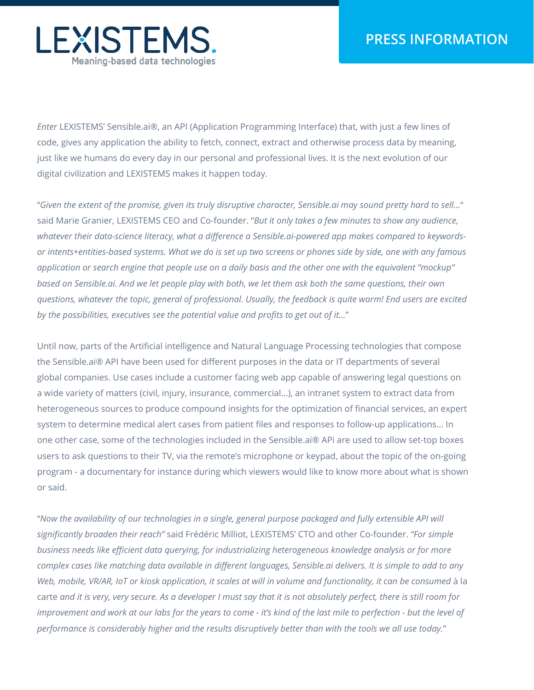

*Enter* LEXISTEMS' Sensible.ai®, an API (Application Programming Interface) that, with just a few lines of code, gives any application the ability to fetch, connect, extract and otherwise process data by meaning, just like we humans do every day in our personal and professional lives. It is the next evolution of our digital civilization and LEXISTEMS makes it happen today.

"*Given the extent of the promise, given its truly disruptive character, Sensible.ai may sound pretty hard to sell...*" said Marie Granier, LEXISTEMS CEO and Co-founder. "*But it only takes a few minutes to show any audience, whatever their data-science literacy, what a difference a Sensible.ai-powered app makes compared to keywordsor intents+entities-based systems. What we do is set up two screens or phones side by side, one with any famous application or search engine that people use on a daily basis and the other one with the equivalent "mockup" based on Sensible.ai. And we let people play with both, we let them ask both the same questions, their own questions, whatever the topic, general of professional. Usually, the feedback is quite warm! End users are excited by the possibilities, executives see the potential value and profits to get out of it...*"

Until now, parts of the Artificial intelligence and Natural Language Processing technologies that compose the Sensible.ai® API have been used for different purposes in the data or IT departments of several global companies. Use cases include a customer facing web app capable of answering legal questions on a wide variety of matters (civil, injury, insurance, commercial...), an intranet system to extract data from heterogeneous sources to produce compound insights for the optimization of financial services, an expert system to determine medical alert cases from patient files and responses to follow-up applications... In one other case, some of the technologies included in the Sensible.ai® APi are used to allow set-top boxes users to ask questions to their TV, via the remote's microphone or keypad, about the topic of the on-going program - a documentary for instance during which viewers would like to know more about what is shown or said.

"*Now the availability of our technologies in a single, general purpose packaged and fully extensible API will significantly broaden their reach"* said Frédéric Milliot, LEXISTEMS' CTO and other Co-founder. *"For simple business needs like efficient data querying, for industrializing heterogeneous knowledge analysis or for more complex cases like matching data available in different languages, Sensible.ai delivers. It is simple to add to any Web, mobile, VR/AR, IoT or kiosk application, it scales at will in volume and functionality, it can be consumed à la* carte *and it is very, very secure. As a developer I must say that it is not absolutely perfect, there is still room for improvement and work at our labs for the years to come - it's kind of the last mile to perfection - but the level of performance is considerably higher and the results disruptively better than with the tools we all use today.*"